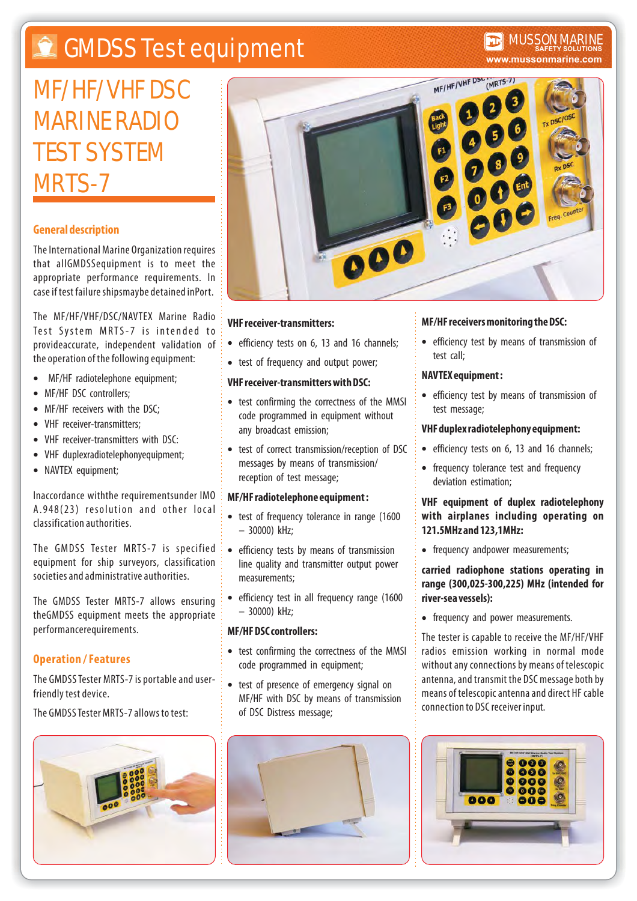# **CMDSS Test equipment**

# **www.mussonmarine.com** MUSSON MARINE **SAFETY SOLUTIONS**

# MF/HF/VHF DSC MARINE RADIO TEST SYSTEM MRTS-7

# **General description**

The International Marine Organization requires that allGMDSSequipment is to meet the appropriate performance requirements. In case if test failure shipsmaybe detained inPort.

The MF/HF/VHF/DSC/NAVTEX Marine Radio Test System MRTS-7 is intended to provideaccurate, independent validation of the operation of the following equipment:

- MF/HF radiotelephone equipment;  $\bullet$
- MF/HF DSC controllers;
- MF/HF receivers with the DSC;
- VHF receiver-transmitters;
- VHF receiver-transmitters with DSC:  $\bullet$
- VHF duplexradiotelephonyequipment;
- NAVTEX equipment;

naccordance withthe requirementsunder IMO A.948(23) resolution and other local classification authorities I .

The GMDSS Tester MRTS-7 is specified equipment for ship surveyors, classification societies and administrative authorities.

The GMDSS Tester MRTS-7 allows ensuring theGMDSS equipment meets the appropriate performancerequirements.

# **Operation / Features**

The GMDSS Tester MRTS-7 is portable and userfriendly test device.

The GMDSS Tester MRTS-7 allows to test:





### **VHF receiver-transmitters:**

- efficiency tests on 6, 13 and 16 channels;
- test of frequency and output power;

### **VHF receiver-transmitters with DSC:**

- test confirming the correctness of the MMSI code programmed in equipment without any broadcast emission;
- test of correct transmission/reception of DSC messages by means of transmission/ reception of test message;

### **MF/HF radiotelephone equipment :**

- test of frequency tolerance in range (1600 – 30000) kHz;
- efficiency tests by means of transmission line quality and transmitter output power measurements;
- efficiency test in all frequency range (1600 – 30000) kHz;

#### **MF/HF DSC controllers:**

- test confirming the correctness of the MMSI code programmed in equipment;
- test of presence of emergency signal on MF/HF with DSC by means of transmission of DSC Distress message;



# **MF/HF receivers monitoring the DSC:**

efficiency test by means of transmission of test call;

### **NAVTEX equipment :**

efficiency test by means of transmission of test message;

#### **VHF duplex radiotelephony equipment:**

- efficiency tests on 6, 13 and 16 channels;
- frequency tolerance test and frequency deviation estimation;

# **VHF equipment of duplex radiotelephony with airplanes including operating on 121.5MHz and 123,1MHz:**

• frequency andpower measurements;

# **carried radiophone stations operating in range (300,025-300,225) MHz (intended for river-sea vessels):**

• frequency and power measurements.

The tester is capable to receive the MF/HF/VHF radios emission working in normal mode without any connections by means of telescopic antenna, and transmit the DSC message both by means of telescopic antenna and direct HF cable connection to DSC receiver input.